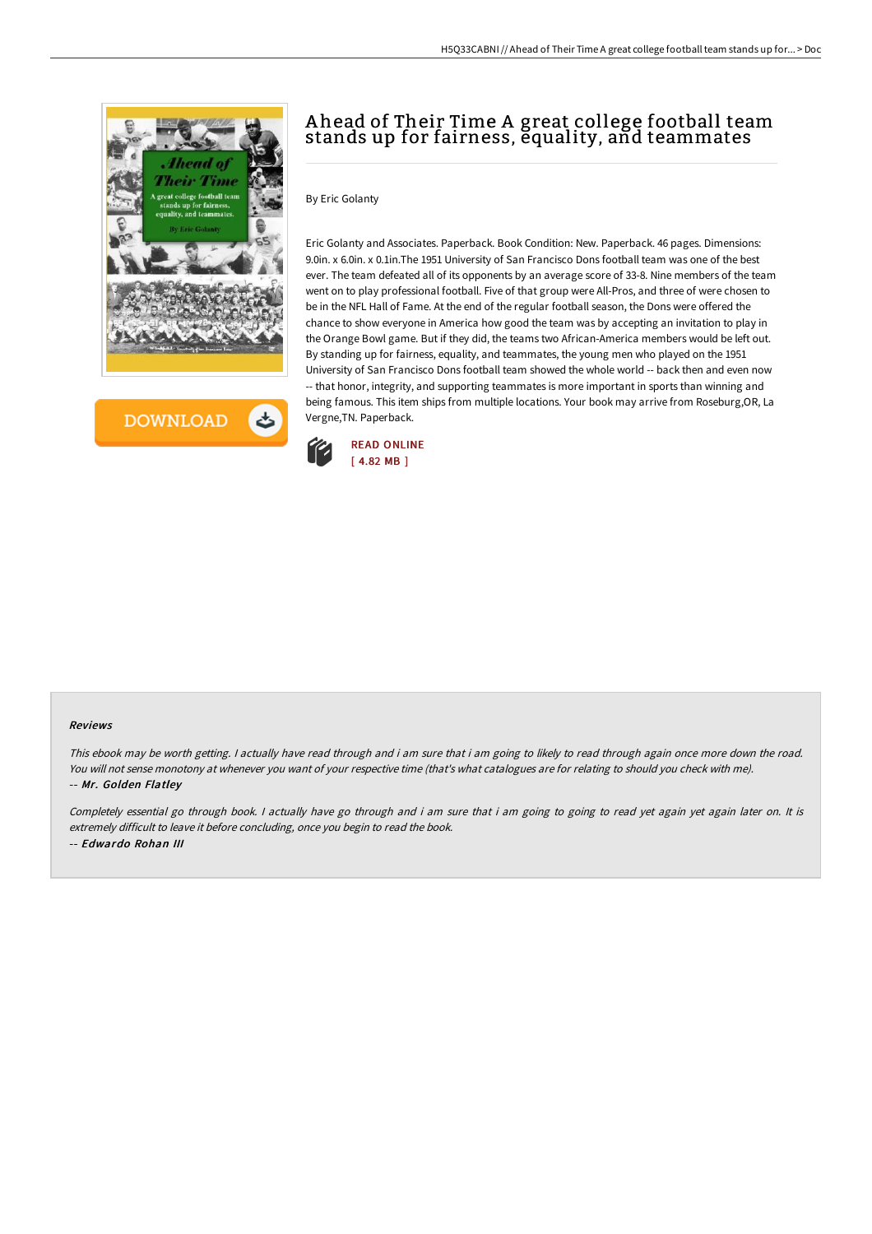

**DOWNLOAD** 

# A head of Their Time A great college football team stands up for fairness, equality, and teammates

### By Eric Golanty

Eric Golanty and Associates. Paperback. Book Condition: New. Paperback. 46 pages. Dimensions: 9.0in. x 6.0in. x 0.1in.The 1951 University of San Francisco Dons football team was one of the best ever. The team defeated all of its opponents by an average score of 33-8. Nine members of the team went on to play professional football. Five of that group were All-Pros, and three of were chosen to be in the NFL Hall of Fame. At the end of the regular football season, the Dons were offered the chance to show everyone in America how good the team was by accepting an invitation to play in the Orange Bowl game. But if they did, the teams two African-America members would be left out. By standing up for fairness, equality, and teammates, the young men who played on the 1951 University of San Francisco Dons football team showed the whole world -- back then and even now -- that honor, integrity, and supporting teammates is more important in sports than winning and being famous. This item ships from multiple locations. Your book may arrive from Roseburg,OR, La Vergne,TN. Paperback.



#### Reviews

This ebook may be worth getting. I actually have read through and i am sure that i am going to likely to read through again once more down the road. You will not sense monotony at whenever you want of your respective time (that's what catalogues are for relating to should you check with me). -- Mr. Golden Flatley

Completely essential go through book. I actually have go through and i am sure that i am going to going to read yet again yet again later on. It is extremely difficult to leave it before concluding, once you begin to read the book. -- Edwardo Rohan III